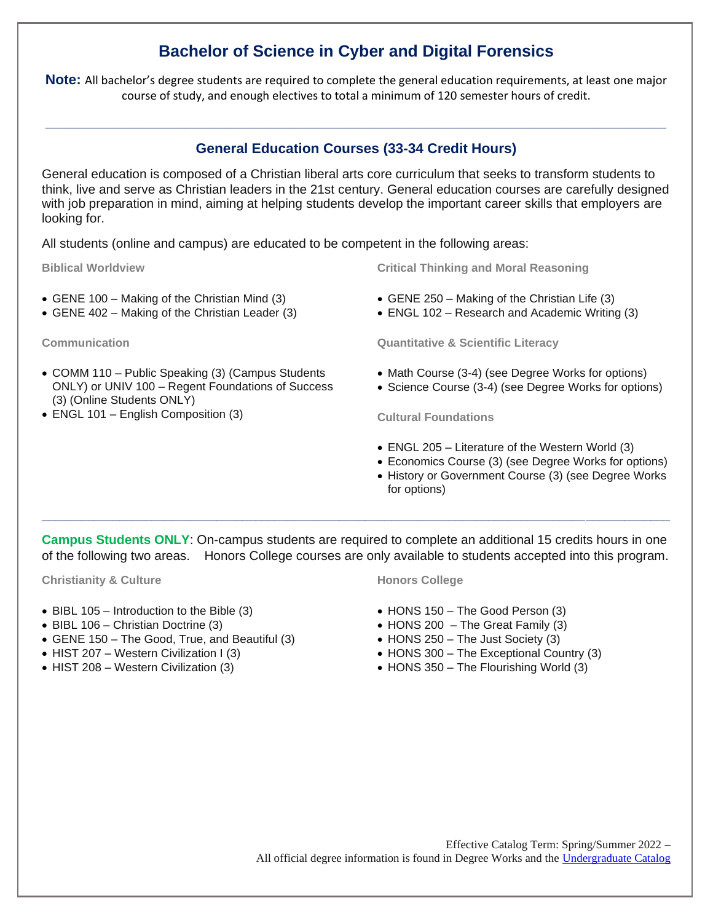# **Bachelor of Science in Cyber and Digital Forensics**

**Note:** All bachelor's degree students are required to complete the general education requirements, at least one major course of study, and enough electives to total a minimum of 120 semester hours of credit.

## **General Education Courses (33-34 Credit Hours)**

**\_\_\_\_\_\_\_\_\_\_\_\_\_\_\_\_\_\_\_\_\_\_\_\_\_\_\_\_\_\_\_\_\_\_\_\_\_\_\_\_\_\_\_\_\_\_\_\_\_\_\_\_\_\_\_\_\_\_\_\_\_\_\_\_\_\_\_\_\_\_\_\_\_\_\_\_\_\_\_\_**

General education is composed of a Christian liberal arts core curriculum that seeks to transform students to think, live and serve as Christian leaders in the 21st century. General education courses are carefully designed with job preparation in mind, aiming at helping students develop the important career skills that employers are looking for.

All students (online and campus) are educated to be competent in the following areas:

**Biblical Worldview**

- GENE 100 Making of the Christian Mind (3)
- GENE 402 Making of the Christian Leader (3)

**Communication**

- COMM 110 Public Speaking (3) (Campus Students ONLY) or UNIV 100 – Regent Foundations of Success (3) (Online Students ONLY)
- ENGL 101 English Composition (3)

**Critical Thinking and Moral Reasoning**

- GENE 250 Making of the Christian Life (3)
- ENGL 102 Research and Academic Writing (3)

**Quantitative & Scientific Literacy**

- Math Course (3-4) (see Degree Works for options)
- Science Course (3-4) (see Degree Works for options)

**Cultural Foundations**

- ENGL 205 Literature of the Western World (3)
- Economics Course (3) (see Degree Works for options)
- History or Government Course (3) (see Degree Works for options)

**Campus Students ONLY**: On-campus students are required to complete an additional 15 credits hours in one of the following two areas. Honors College courses are only available to students accepted into this program.

**\_\_\_\_\_\_\_\_\_\_\_\_\_\_\_\_\_\_\_\_\_\_\_\_\_\_\_\_\_\_\_\_\_\_\_\_\_\_\_\_\_\_\_\_\_\_\_\_\_\_\_\_\_\_\_\_\_\_\_\_\_\_\_\_\_\_\_\_\_\_\_\_\_\_\_\_\_\_\_\_\_\_\_\_\_\_\_\_\_\_\_\_\_\_\_\_\_**

**Christianity & Culture**

- BIBL 105 Introduction to the Bible (3)
- BIBL 106 Christian Doctrine (3)
- GENE 150 The Good, True, and Beautiful (3)
- HIST 207 Western Civilization I (3)
- HIST 208 Western Civilization (3)

#### **Honors College**

- HONS 150 The Good Person (3)
- $\bullet$  HONS 200 The Great Family (3)
- HONS 250 The Just Society (3)
- HONS 300 The Exceptional Country (3)
- HONS 350 The Flourishing World (3)